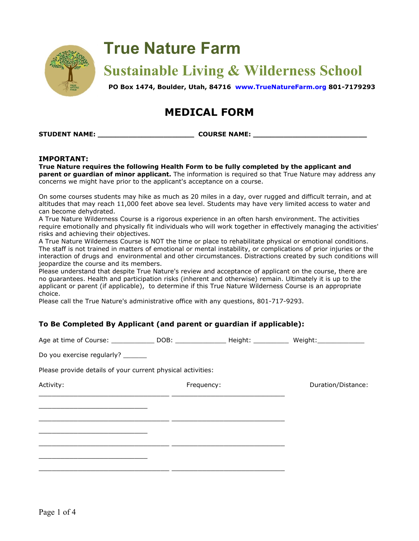

# **True Nature Farm**

**Sustainable Living & Wilderness School**

**PO Box 1474, Boulder, Utah, 84716 [www.TrueNatureFarm.org](http://www.truenaturefarm.org/) [801-7179293](http://www.truenaturefarm.org/)**

## **MEDICAL FORM**

**STUDENT NAME: \_\_\_\_\_\_\_\_\_\_\_\_\_\_\_\_\_\_\_\_\_\_ COURSE NAME: \_\_\_\_\_\_\_\_\_\_\_\_\_\_\_\_\_\_\_\_\_\_\_\_\_\_**

#### **IMPORTANT:**

**True Nature requires the following Health Form to be fully completed by the applicant and parent or guardian of minor applicant.** The information is required so that True Nature may address any concerns we might have prior to the applicant's acceptance on a course.

On some courses students may hike as much as 20 miles in a day, over rugged and difficult terrain, and at altitudes that may reach 11,000 feet above sea level. Students may have very limited access to water and can become dehydrated.

A True Nature Wilderness Course is a rigorous experience in an often harsh environment. The activities require emotionally and physically fit individuals who will work together in effectively managing the activities' risks and achieving their objectives.

A True Nature Wilderness Course is NOT the time or place to rehabilitate physical or emotional conditions. The staff is not trained in matters of emotional or mental instability, or complications of prior injuries or the interaction of drugs and environmental and other circumstances. Distractions created by such conditions will jeopardize the course and its members.

Please understand that despite True Nature's review and acceptance of applicant on the course, there are no guarantees. Health and participation risks (inherent and otherwise) remain. Ultimately it is up to the applicant or parent (if applicable), to determine if this True Nature Wilderness Course is an appropriate choice.

Please call the True Nature's administrative office with any questions, 801-717-9293.

#### **To Be Completed By Applicant (and parent or guardian if applicable):**

Age at time of Course: \_\_\_\_\_\_\_\_\_\_\_\_\_\_ DOB: \_\_\_\_\_\_\_\_\_\_\_\_\_\_\_ Height: Weight: Weight:

Do you exercise regularly?

Please provide details of your current physical activities:

Activity: The Contraction of the Contraction of the Frequency: The Contraction of Duration/Distance: \_\_\_\_\_\_\_\_\_\_\_\_\_\_\_\_\_\_\_\_\_\_\_\_\_\_\_\_\_\_ \_\_\_\_\_\_\_\_\_\_\_\_\_\_\_\_\_\_\_\_\_\_\_\_\_\_ \_\_\_\_\_\_\_\_\_\_\_\_\_\_\_\_\_\_\_\_\_\_\_\_\_ \_\_\_\_\_\_\_\_\_\_\_\_\_\_\_\_\_\_\_\_\_\_\_\_\_\_\_\_\_\_ \_\_\_\_\_\_\_\_\_\_\_\_\_\_\_\_\_\_\_\_\_\_\_\_\_\_ \_\_\_\_\_\_\_\_\_\_\_\_\_\_\_\_\_\_\_\_\_\_\_\_\_ \_\_\_\_\_\_\_\_\_\_\_\_\_\_\_\_\_\_\_\_\_\_\_\_\_\_\_\_\_\_ \_\_\_\_\_\_\_\_\_\_\_\_\_\_\_\_\_\_\_\_\_\_\_\_\_\_ \_\_\_\_\_\_\_\_\_\_\_\_\_\_\_\_\_\_\_\_\_\_\_\_\_ \_\_\_\_\_\_\_\_\_\_\_\_\_\_\_\_\_\_\_\_\_\_\_\_\_\_\_\_\_\_ \_\_\_\_\_\_\_\_\_\_\_\_\_\_\_\_\_\_\_\_\_\_\_\_\_\_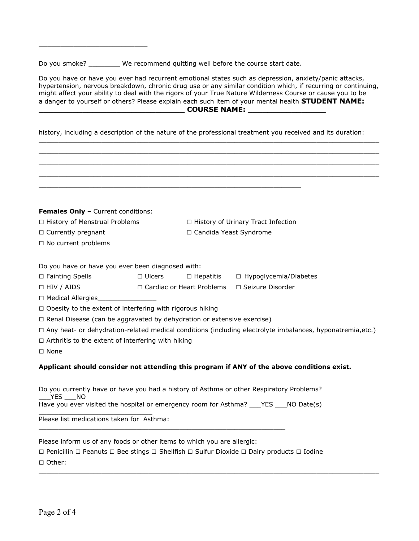Do you smoke? \_\_\_\_\_\_\_\_\_ We recommend quitting well before the course start date.

\_\_\_\_\_\_\_\_\_\_\_\_\_\_\_\_\_\_\_\_\_\_\_\_\_

Do you have or have you ever had recurrent emotional states such as depression, anxiety/panic attacks, hypertension, nervous breakdown, chronic drug use or any similar condition which, if recurring or continuing, might affect your ability to deal with the rigors of your True Nature Wilderness Course or cause you to be a danger to yourself or others? Please explain each such item of your mental health **STUDENT NAME: \_\_\_\_\_\_\_\_\_\_\_\_\_\_\_\_\_\_\_\_\_\_\_\_\_\_\_\_\_\_ COURSE NAME: \_\_\_\_\_\_\_\_\_\_\_\_\_\_\_\_**

history, including a description of the nature of the professional treatment you received and its duration:

\_\_\_\_\_\_\_\_\_\_\_\_\_\_\_\_\_\_\_\_\_\_\_\_\_\_\_\_\_\_\_\_\_\_\_\_\_\_\_\_\_\_\_\_\_\_\_\_\_\_\_\_\_\_\_\_\_\_\_\_\_\_\_\_\_\_\_\_\_\_\_\_\_\_\_\_\_\_\_\_\_\_\_\_\_\_\_

| <b>Females Only</b> - Current conditions:                                     |                                                   |                                      |                                                                                                                               |  |
|-------------------------------------------------------------------------------|---------------------------------------------------|--------------------------------------|-------------------------------------------------------------------------------------------------------------------------------|--|
| □ History of Menstrual Problems                                               |                                                   | □ History of Urinary Tract Infection |                                                                                                                               |  |
| □ Currently pregnant                                                          |                                                   | □ Candida Yeast Syndrome             |                                                                                                                               |  |
| $\Box$ No current problems                                                    |                                                   |                                      |                                                                                                                               |  |
|                                                                               |                                                   |                                      |                                                                                                                               |  |
| Do you have or have you ever been diagnosed with:                             |                                                   |                                      |                                                                                                                               |  |
| □ Fainting Spells                                                             | $\Box$ Ulcers                                     | $\Box$ Hepatitis                     | □ Hypoglycemia/Diabetes                                                                                                       |  |
| $\Box$ HIV / AIDS                                                             | □ Cardiac or Heart Problems<br>□ Seizure Disorder |                                      |                                                                                                                               |  |
| □ Medical Allergies                                                           |                                                   |                                      |                                                                                                                               |  |
| $\Box$ Obesity to the extent of interfering with rigorous hiking              |                                                   |                                      |                                                                                                                               |  |
| $\Box$ Renal Disease (can be aggravated by dehydration or extensive exercise) |                                                   |                                      |                                                                                                                               |  |
|                                                                               |                                                   |                                      | $\Box$ Any heat- or dehydration-related medical conditions (including electrolyte imbalances, hyponatremia,etc.)              |  |
| $\Box$ Arthritis to the extent of interfering with hiking                     |                                                   |                                      |                                                                                                                               |  |
| $\Box$ None                                                                   |                                                   |                                      |                                                                                                                               |  |
|                                                                               |                                                   |                                      | Applicant should consider not attending this program if ANY of the above conditions exist.                                    |  |
|                                                                               |                                                   |                                      |                                                                                                                               |  |
|                                                                               |                                                   |                                      | Do you currently have or have you had a history of Asthma or other Respiratory Problems?                                      |  |
| YES NO                                                                        |                                                   |                                      | Have you ever visited the hospital or emergency room for Asthma? ___ YES ___ NO Date(s)                                       |  |
|                                                                               |                                                   |                                      |                                                                                                                               |  |
| Please list medications taken for Asthma:                                     |                                                   |                                      |                                                                                                                               |  |
|                                                                               |                                                   |                                      |                                                                                                                               |  |
| Please inform us of any foods or other items to which you are allergic:       |                                                   |                                      |                                                                                                                               |  |
|                                                                               |                                                   |                                      | $\Box$ Penicillin $\Box$ Peanuts $\Box$ Bee stings $\Box$ Shellfish $\Box$ Sulfur Dioxide $\Box$ Dairy products $\Box$ Iodine |  |
| □ Other:                                                                      |                                                   |                                      |                                                                                                                               |  |

\_\_\_\_\_\_\_\_\_\_\_\_\_\_\_\_\_\_\_\_\_\_\_\_\_\_\_\_\_\_\_\_\_\_\_\_\_\_\_\_\_\_\_\_\_\_\_\_\_\_\_\_\_\_\_\_\_\_\_\_\_\_\_\_\_\_\_\_\_\_\_\_\_\_\_\_\_\_\_\_\_\_\_\_\_\_\_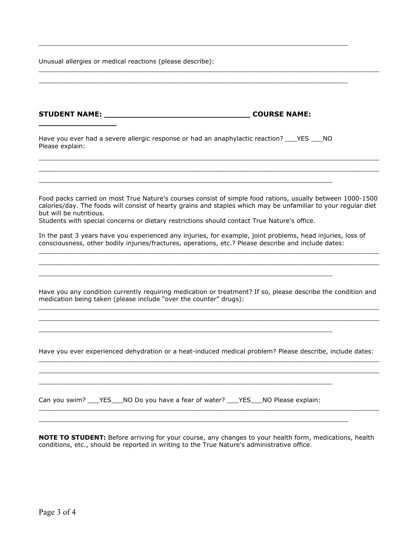Unusual allergies or medical reactions (please describe):

**STUDENT NAME: \_\_\_\_\_\_\_\_\_\_\_\_\_\_\_\_\_\_\_\_\_\_\_\_\_\_\_\_\_\_ COURSE NAME: \_\_\_\_\_\_\_\_\_\_\_\_\_\_\_\_** Have you ever had a severe allergic response or had an anaphylactic reaction? YES NO Please explain: \_\_\_\_\_\_\_\_\_\_\_\_\_\_\_\_\_\_\_\_\_\_\_\_\_\_\_\_\_\_\_\_\_\_\_\_\_\_\_\_\_\_\_\_\_\_\_\_\_\_\_\_\_\_\_\_\_\_\_\_\_\_\_\_\_\_\_\_\_\_\_\_\_\_\_\_\_\_\_\_\_\_\_\_\_\_\_  $\_$  ,  $\_$  ,  $\_$  ,  $\_$  ,  $\_$  ,  $\_$  ,  $\_$  ,  $\_$  ,  $\_$  ,  $\_$  ,  $\_$  ,  $\_$  ,  $\_$  ,  $\_$  ,  $\_$  ,  $\_$  ,  $\_$  ,  $\_$  ,  $\_$  ,  $\_$  ,  $\_$  ,  $\_$  ,  $\_$  ,  $\_$  ,  $\_$  ,  $\_$  ,  $\_$  ,  $\_$  ,  $\_$  ,  $\_$  ,  $\_$  ,  $\_$  ,  $\_$  ,  $\_$  ,  $\_$  ,  $\_$  ,  $\_$  , \_\_\_\_\_\_\_\_\_\_\_\_\_\_\_\_\_\_\_\_\_\_\_\_\_\_\_\_\_\_\_\_\_\_\_\_\_\_\_\_\_\_\_\_\_\_\_\_\_\_\_\_\_\_\_\_\_\_\_\_\_\_\_\_\_\_\_\_\_\_\_\_\_\_\_ Food packs carried on most True Nature's courses consist of simple food rations, usually between 1000-1500 calories/day. The foods will consist of hearty grains and staples which may be unfamiliar to your regular diet but will be nutritious. Students with special concerns or dietary restrictions should contact True Nature's office. In the past 3 years have you experienced any injuries, for example, joint problems, head injuries, loss of consciousness, other bodily injuries/fractures, operations, etc.? Please describe and include dates:  $\_$  ,  $\_$  ,  $\_$  ,  $\_$  ,  $\_$  ,  $\_$  ,  $\_$  ,  $\_$  ,  $\_$  ,  $\_$  ,  $\_$  ,  $\_$  ,  $\_$  ,  $\_$  ,  $\_$  ,  $\_$  ,  $\_$  ,  $\_$  ,  $\_$  ,  $\_$  ,  $\_$  ,  $\_$  ,  $\_$  ,  $\_$  ,  $\_$  ,  $\_$  ,  $\_$  ,  $\_$  ,  $\_$  ,  $\_$  ,  $\_$  ,  $\_$  ,  $\_$  ,  $\_$  ,  $\_$  ,  $\_$  ,  $\_$  ,  $\_$  ,  $\_$  ,  $\_$  ,  $\_$  ,  $\_$  ,  $\_$  ,  $\_$  ,  $\_$  ,  $\_$  ,  $\_$  ,  $\_$  ,  $\_$  ,  $\_$  ,  $\_$  ,  $\_$  ,  $\_$  ,  $\_$  ,  $\_$  ,  $\_$  ,  $\_$  ,  $\_$  ,  $\_$  ,  $\_$  ,  $\_$  ,  $\_$  ,  $\_$  ,  $\_$  ,  $\_$  ,  $\_$  ,  $\_$  ,  $\_$  ,  $\_$  ,  $\_$  ,  $\_$  ,  $\_$  ,  $\_$  ,  $\_$  , \_\_\_\_\_\_\_\_\_\_\_\_\_\_\_\_\_\_\_\_\_\_\_\_\_\_\_\_\_\_\_\_\_\_\_\_\_\_\_\_\_\_\_\_\_\_\_\_\_\_\_\_\_\_\_\_\_\_\_\_\_\_\_\_\_\_\_\_\_\_\_\_\_\_\_ Have you any condition currently requiring medication or treatment? If so, please describe the condition and medication being taken (please include "over the counter" drugs):  $\_$  ,  $\_$  ,  $\_$  ,  $\_$  ,  $\_$  ,  $\_$  ,  $\_$  ,  $\_$  ,  $\_$  ,  $\_$  ,  $\_$  ,  $\_$  ,  $\_$  ,  $\_$  ,  $\_$  ,  $\_$  ,  $\_$  ,  $\_$  ,  $\_$  ,  $\_$  ,  $\_$  ,  $\_$  ,  $\_$  ,  $\_$  ,  $\_$  ,  $\_$  ,  $\_$  ,  $\_$  ,  $\_$  ,  $\_$  ,  $\_$  ,  $\_$  ,  $\_$  ,  $\_$  ,  $\_$  ,  $\_$  ,  $\_$  , \_\_\_\_\_\_\_\_\_\_\_\_\_\_\_\_\_\_\_\_\_\_\_\_\_\_\_\_\_\_\_\_\_\_\_\_\_\_\_\_\_\_\_\_\_\_\_\_\_\_\_\_\_\_\_\_\_\_\_\_\_\_\_\_\_\_\_\_\_\_\_\_\_\_\_\_\_\_\_\_\_\_\_\_\_\_\_ \_\_\_\_\_\_\_\_\_\_\_\_\_\_\_\_\_\_\_\_\_\_\_\_\_\_\_\_\_\_\_\_\_\_\_\_\_\_\_\_\_\_\_\_\_\_\_\_\_\_\_\_\_\_\_\_\_\_\_\_\_\_\_\_\_\_\_\_\_\_\_\_\_\_\_ Have you ever experienced dehydration or a heat-induced medical problem? Please describe, include dates:  $\_$  ,  $\_$  ,  $\_$  ,  $\_$  ,  $\_$  ,  $\_$  ,  $\_$  ,  $\_$  ,  $\_$  ,  $\_$  ,  $\_$  ,  $\_$  ,  $\_$  ,  $\_$  ,  $\_$  ,  $\_$  ,  $\_$  ,  $\_$  ,  $\_$  ,  $\_$  ,  $\_$  ,  $\_$  ,  $\_$  ,  $\_$  ,  $\_$  ,  $\_$  ,  $\_$  ,  $\_$  ,  $\_$  ,  $\_$  ,  $\_$  ,  $\_$  ,  $\_$  ,  $\_$  ,  $\_$  ,  $\_$  ,  $\_$  , \_\_\_\_\_\_\_\_\_\_\_\_\_\_\_\_\_\_\_\_\_\_\_\_\_\_\_\_\_\_\_\_\_\_\_\_\_\_\_\_\_\_\_\_\_\_\_\_\_\_\_\_\_\_\_\_\_\_\_\_\_\_\_\_\_\_\_\_\_\_\_\_\_\_\_\_\_\_\_\_\_\_\_\_\_\_\_ \_\_\_\_\_\_\_\_\_\_\_\_\_\_\_\_\_\_\_\_\_\_\_\_\_\_\_\_\_\_\_\_\_\_\_\_\_\_\_\_\_\_\_\_\_\_\_\_\_\_\_\_\_\_\_\_\_\_\_\_\_\_\_\_\_\_\_\_\_\_\_\_\_\_\_ Can you swim? \_\_\_YES\_\_\_NO Do you have a fear of water? \_\_\_YES\_\_\_NO Please explain: \_\_\_\_\_\_\_\_\_\_\_\_\_\_\_\_\_\_\_\_\_\_\_\_\_\_\_\_\_\_\_\_\_\_\_\_\_\_\_\_\_\_\_\_\_\_\_\_\_\_\_\_\_\_\_\_\_\_\_\_\_\_\_\_\_\_\_\_\_\_\_\_\_\_\_\_\_\_\_\_\_\_\_\_\_\_\_  $\_$  ,  $\_$  ,  $\_$  ,  $\_$  ,  $\_$  ,  $\_$  ,  $\_$  ,  $\_$  ,  $\_$  ,  $\_$  ,  $\_$  ,  $\_$  ,  $\_$  ,  $\_$  ,  $\_$  ,  $\_$  ,  $\_$  ,  $\_$  ,  $\_$  ,  $\_$  ,  $\_$  ,  $\_$  ,  $\_$  ,  $\_$  ,  $\_$  ,  $\_$  ,  $\_$  ,  $\_$  ,  $\_$  ,  $\_$  ,  $\_$  ,  $\_$  ,  $\_$  ,  $\_$  ,  $\_$  ,  $\_$  ,  $\_$  ,

 $\_$  ,  $\_$  ,  $\_$  ,  $\_$  ,  $\_$  ,  $\_$  ,  $\_$  ,  $\_$  ,  $\_$  ,  $\_$  ,  $\_$  ,  $\_$  ,  $\_$  ,  $\_$  ,  $\_$  ,  $\_$  ,  $\_$  ,  $\_$  ,  $\_$  ,  $\_$  ,  $\_$  ,  $\_$  ,  $\_$  ,  $\_$  ,  $\_$  ,  $\_$  ,  $\_$  ,  $\_$  ,  $\_$  ,  $\_$  ,  $\_$  ,  $\_$  ,  $\_$  ,  $\_$  ,  $\_$  ,  $\_$  ,  $\_$  ,

 $\_$  ,  $\_$  ,  $\_$  ,  $\_$  ,  $\_$  ,  $\_$  ,  $\_$  ,  $\_$  ,  $\_$  ,  $\_$  ,  $\_$  ,  $\_$  ,  $\_$  ,  $\_$  ,  $\_$  ,  $\_$  ,  $\_$  ,  $\_$  ,  $\_$  ,  $\_$  ,  $\_$  ,  $\_$  ,  $\_$  ,  $\_$  ,  $\_$  ,  $\_$  ,  $\_$  ,  $\_$  ,  $\_$  ,  $\_$  ,  $\_$  ,  $\_$  ,  $\_$  ,  $\_$  ,  $\_$  ,  $\_$  ,  $\_$  ,

 $\_$  ,  $\_$  ,  $\_$  ,  $\_$  ,  $\_$  ,  $\_$  ,  $\_$  ,  $\_$  ,  $\_$  ,  $\_$  ,  $\_$  ,  $\_$  ,  $\_$  ,  $\_$  ,  $\_$  ,  $\_$  ,  $\_$  ,  $\_$  ,  $\_$  ,  $\_$  ,  $\_$  ,  $\_$  ,  $\_$  ,  $\_$  ,  $\_$  ,  $\_$  ,  $\_$  ,  $\_$  ,  $\_$  ,  $\_$  ,  $\_$  ,  $\_$  ,  $\_$  ,  $\_$  ,  $\_$  ,  $\_$  ,  $\_$  ,

**NOTE TO STUDENT:** Before arriving for your course, any changes to your health form, medications, health conditions, etc., should be reported in writing to the True Nature's administrative office.